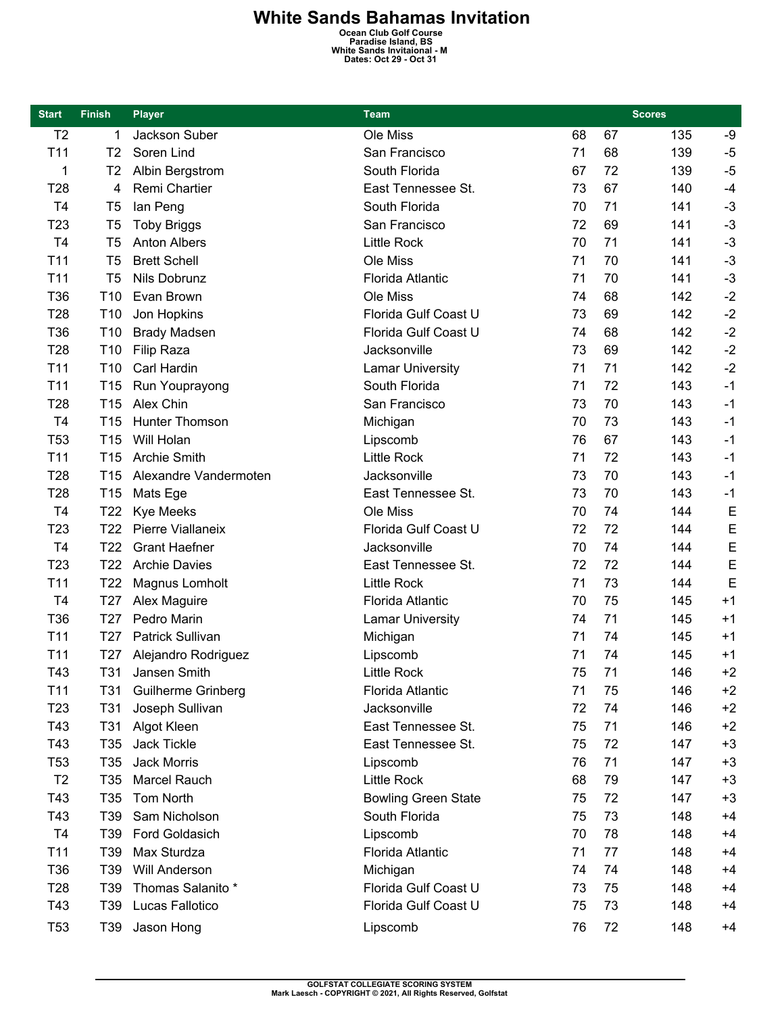## **White Sands Bahamas Invitation**<br>
Ocean Club Golf Course<br>
Paradise Island, BS<br>
White Sands Invitaional - M<br>
Dates: Oct 29 - Oct 31

| <b>Start</b>    | <b>Finish</b>   | <b>Player</b>             | <b>Team</b>                | <b>Scores</b> |    |     |      |
|-----------------|-----------------|---------------------------|----------------------------|---------------|----|-----|------|
| T <sub>2</sub>  | 1               | Jackson Suber             | Ole Miss                   | 68            | 67 | 135 | -9   |
| T <sub>11</sub> | T <sub>2</sub>  | Soren Lind                | San Francisco              | 71            | 68 | 139 | $-5$ |
| 1               | T <sub>2</sub>  | Albin Bergstrom           | South Florida              | 67            | 72 | 139 | $-5$ |
| T <sub>28</sub> | 4               | Remi Chartier             | East Tennessee St.         | 73            | 67 | 140 | $-4$ |
| T <sub>4</sub>  | T <sub>5</sub>  | lan Peng                  | South Florida              | 70            | 71 | 141 | $-3$ |
| T <sub>23</sub> | T5              | <b>Toby Briggs</b>        | San Francisco              | 72            | 69 | 141 | $-3$ |
| T <sub>4</sub>  | T <sub>5</sub>  | <b>Anton Albers</b>       | <b>Little Rock</b>         | 70            | 71 | 141 | $-3$ |
| T <sub>11</sub> | T <sub>5</sub>  | <b>Brett Schell</b>       | Ole Miss                   | 71            | 70 | 141 | $-3$ |
| T <sub>11</sub> | T <sub>5</sub>  | Nils Dobrunz              | Florida Atlantic           | 71            | 70 | 141 | $-3$ |
| T36             | T <sub>10</sub> | Evan Brown                | Ole Miss                   | 74            | 68 | 142 | $-2$ |
| T28             | T <sub>10</sub> | Jon Hopkins               | Florida Gulf Coast U       | 73            | 69 | 142 | $-2$ |
| T36             | T <sub>10</sub> | <b>Brady Madsen</b>       | Florida Gulf Coast U       | 74            | 68 | 142 | $-2$ |
| T <sub>28</sub> | T <sub>10</sub> | <b>Filip Raza</b>         | Jacksonville               | 73            | 69 | 142 | $-2$ |
| T <sub>11</sub> | T <sub>10</sub> | Carl Hardin               | <b>Lamar University</b>    | 71            | 71 | 142 | $-2$ |
| T <sub>11</sub> | T <sub>15</sub> | Run Youprayong            | South Florida              | 71            | 72 | 143 | $-1$ |
| T <sub>28</sub> | T <sub>15</sub> | Alex Chin                 | San Francisco              | 73            | 70 | 143 | $-1$ |
| T <sub>4</sub>  | T <sub>15</sub> | Hunter Thomson            | Michigan                   | 70            | 73 | 143 | $-1$ |
| T <sub>53</sub> | T <sub>15</sub> | Will Holan                | Lipscomb                   | 76            | 67 | 143 | $-1$ |
| T <sub>11</sub> | T <sub>15</sub> | <b>Archie Smith</b>       | <b>Little Rock</b>         | 71            | 72 | 143 | $-1$ |
| T <sub>28</sub> | T <sub>15</sub> | Alexandre Vandermoten     | Jacksonville               | 73            | 70 | 143 | $-1$ |
| T <sub>28</sub> | T <sub>15</sub> | Mats Ege                  | East Tennessee St.         | 73            | 70 | 143 | $-1$ |
| T <sub>4</sub>  | T <sub>22</sub> | <b>Kye Meeks</b>          | Ole Miss                   | 70            | 74 | 144 | E    |
| T <sub>23</sub> | T <sub>22</sub> | Pierre Viallaneix         | Florida Gulf Coast U       | 72            | 72 | 144 | E    |
| T <sub>4</sub>  | T <sub>22</sub> | <b>Grant Haefner</b>      | Jacksonville               | 70            | 74 | 144 | E    |
| T <sub>23</sub> | T <sub>22</sub> | <b>Archie Davies</b>      | East Tennessee St.         | 72            | 72 | 144 | E    |
| T <sub>11</sub> | T <sub>22</sub> | Magnus Lomholt            | <b>Little Rock</b>         | 71            | 73 | 144 | E    |
| T4              | T <sub>27</sub> | Alex Maguire              | Florida Atlantic           | 70            | 75 | 145 | $+1$ |
| T36             | T <sub>27</sub> | Pedro Marin               | <b>Lamar University</b>    | 74            | 71 | 145 | $+1$ |
| T <sub>11</sub> | T <sub>27</sub> | Patrick Sullivan          | Michigan                   | 71            | 74 | 145 | $+1$ |
| T <sub>11</sub> | T <sub>27</sub> | Alejandro Rodriguez       | Lipscomb                   | 71            | 74 | 145 | $+1$ |
| T43             | T31             | Jansen Smith              | <b>Little Rock</b>         | 75            | 71 | 146 | $+2$ |
| T <sub>11</sub> | T31             | <b>Guilherme Grinberg</b> | Florida Atlantic           | 71            | 75 | 146 | $+2$ |
| T <sub>23</sub> | T31             | Joseph Sullivan           | Jacksonville               | 72            | 74 | 146 | $+2$ |
| T43             | T <sub>31</sub> | Algot Kleen               | East Tennessee St.         | 75            | 71 | 146 | $+2$ |
| T43             | T <sub>35</sub> | Jack Tickle               | East Tennessee St.         | 75            | 72 | 147 | $+3$ |
| T <sub>53</sub> | T <sub>35</sub> | Jack Morris               | Lipscomb                   | 76            | 71 | 147 | $+3$ |
| T <sub>2</sub>  | T <sub>35</sub> | Marcel Rauch              | <b>Little Rock</b>         | 68            | 79 | 147 | $+3$ |
| T43             | T <sub>35</sub> | Tom North                 | <b>Bowling Green State</b> | 75            | 72 | 147 | $+3$ |
| T43             | T39             | Sam Nicholson             | South Florida              | 75            | 73 | 148 | $+4$ |
| T <sub>4</sub>  | T39             | Ford Goldasich            | Lipscomb                   | 70            | 78 | 148 | $+4$ |
| T11             | T39             | Max Sturdza               | Florida Atlantic           | 71            | 77 | 148 | $+4$ |
| T36             | T39             | Will Anderson             | Michigan                   | 74            | 74 | 148 | $+4$ |
| T <sub>28</sub> | T39             | Thomas Salanito *         | Florida Gulf Coast U       | 73            | 75 | 148 | +4   |
| T43             | T39             | Lucas Fallotico           | Florida Gulf Coast U       | 75            | 73 | 148 | $+4$ |
| T <sub>53</sub> | T39             | Jason Hong                | Lipscomb                   | 76            | 72 | 148 | $+4$ |